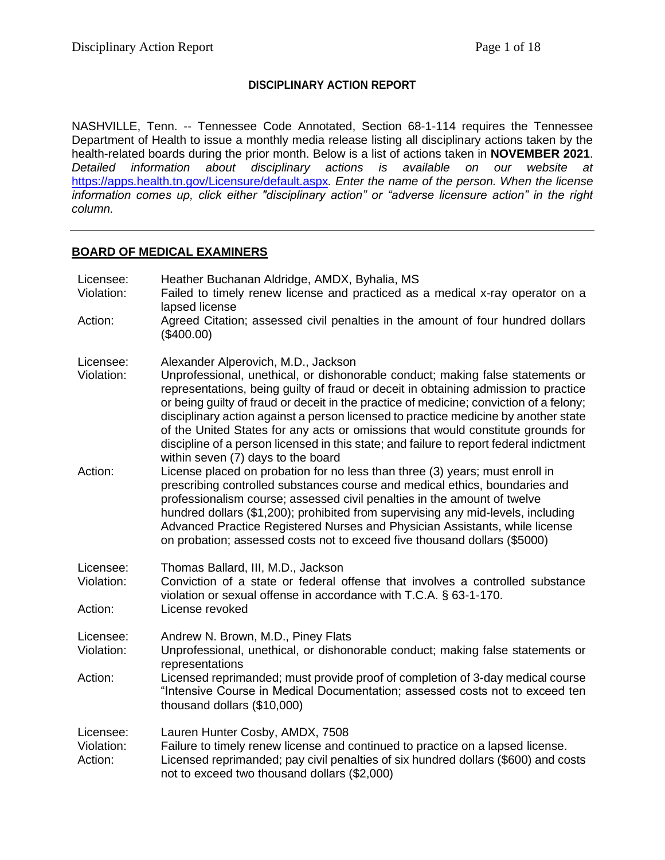## **DISCIPLINARY ACTION REPORT**

NASHVILLE, Tenn. -- Tennessee Code Annotated, Section 68-1-114 requires the Tennessee Department of Health to issue a monthly media release listing all disciplinary actions taken by the health-related boards during the prior month. Below is a list of actions taken in **NOVEMBER 2021**. *Detailed information about disciplinary actions is available on our website at*  <https://apps.health.tn.gov/Licensure/default.aspx>*. Enter the name of the person. When the license information comes up, click either "disciplinary action" or "adverse licensure action" in the right column.*

#### **BOARD OF MEDICAL EXAMINERS**

| Licensee:<br>Violation:            | Heather Buchanan Aldridge, AMDX, Byhalia, MS<br>Failed to timely renew license and practiced as a medical x-ray operator on a<br>lapsed license                                                                                                                                                                                                                                                                                                                                                                                                                                                                     |
|------------------------------------|---------------------------------------------------------------------------------------------------------------------------------------------------------------------------------------------------------------------------------------------------------------------------------------------------------------------------------------------------------------------------------------------------------------------------------------------------------------------------------------------------------------------------------------------------------------------------------------------------------------------|
| Action:                            | Agreed Citation; assessed civil penalties in the amount of four hundred dollars<br>(\$400.00)                                                                                                                                                                                                                                                                                                                                                                                                                                                                                                                       |
| Licensee:<br>Violation:            | Alexander Alperovich, M.D., Jackson<br>Unprofessional, unethical, or dishonorable conduct; making false statements or<br>representations, being guilty of fraud or deceit in obtaining admission to practice<br>or being guilty of fraud or deceit in the practice of medicine; conviction of a felony;<br>disciplinary action against a person licensed to practice medicine by another state<br>of the United States for any acts or omissions that would constitute grounds for<br>discipline of a person licensed in this state; and failure to report federal indictment<br>within seven (7) days to the board |
| Action:                            | License placed on probation for no less than three (3) years; must enroll in<br>prescribing controlled substances course and medical ethics, boundaries and<br>professionalism course; assessed civil penalties in the amount of twelve<br>hundred dollars (\$1,200); prohibited from supervising any mid-levels, including<br>Advanced Practice Registered Nurses and Physician Assistants, while license<br>on probation; assessed costs not to exceed five thousand dollars (\$5000)                                                                                                                             |
| Licensee:<br>Violation:<br>Action: | Thomas Ballard, III, M.D., Jackson<br>Conviction of a state or federal offense that involves a controlled substance<br>violation or sexual offense in accordance with T.C.A. § 63-1-170.<br>License revoked                                                                                                                                                                                                                                                                                                                                                                                                         |
| Licensee:<br>Violation:            | Andrew N. Brown, M.D., Piney Flats<br>Unprofessional, unethical, or dishonorable conduct; making false statements or<br>representations                                                                                                                                                                                                                                                                                                                                                                                                                                                                             |
| Action:                            | Licensed reprimanded; must provide proof of completion of 3-day medical course<br>"Intensive Course in Medical Documentation; assessed costs not to exceed ten<br>thousand dollars (\$10,000)                                                                                                                                                                                                                                                                                                                                                                                                                       |
| Licensee:<br>Violation:<br>Action: | Lauren Hunter Cosby, AMDX, 7508<br>Failure to timely renew license and continued to practice on a lapsed license.<br>Licensed reprimanded; pay civil penalties of six hundred dollars (\$600) and costs<br>not to exceed two thousand dollars (\$2,000)                                                                                                                                                                                                                                                                                                                                                             |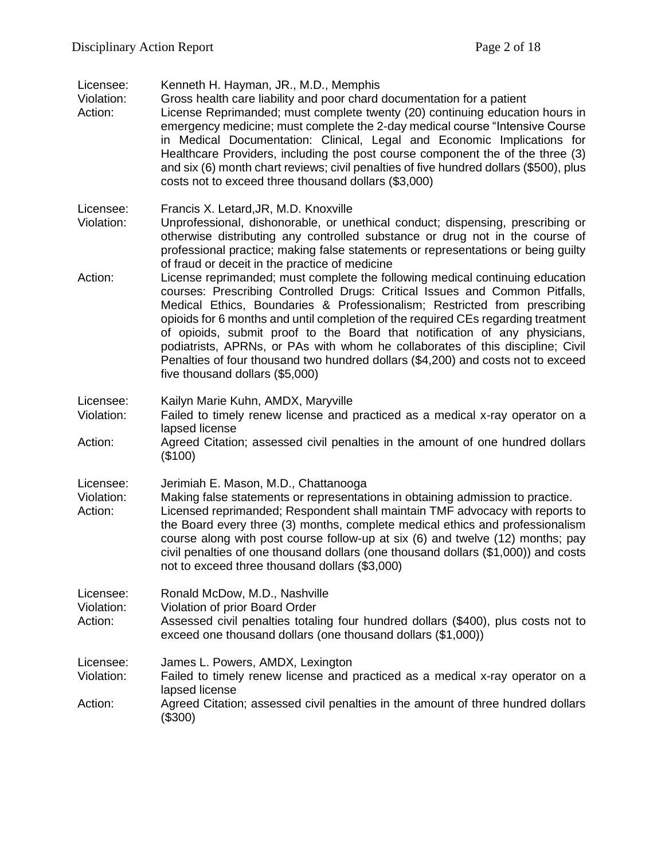| Licensee: | Kenneth H. Hayman, JR., M.D., Memphis |  |  |  |
|-----------|---------------------------------------|--|--|--|
|-----------|---------------------------------------|--|--|--|

Violation: Gross health care liability and poor chard documentation for a patient

- Action: License Reprimanded; must complete twenty (20) continuing education hours in emergency medicine; must complete the 2-day medical course "Intensive Course in Medical Documentation: Clinical, Legal and Economic Implications for Healthcare Providers, including the post course component the of the three (3) and six (6) month chart reviews; civil penalties of five hundred dollars (\$500), plus costs not to exceed three thousand dollars (\$3,000)
- Licensee: Francis X. Letard,JR, M.D. Knoxville
- Violation: Unprofessional, dishonorable, or unethical conduct; dispensing, prescribing or otherwise distributing any controlled substance or drug not in the course of professional practice; making false statements or representations or being guilty of fraud or deceit in the practice of medicine
- Action: License reprimanded; must complete the following medical continuing education courses: Prescribing Controlled Drugs: Critical Issues and Common Pitfalls, Medical Ethics, Boundaries & Professionalism; Restricted from prescribing opioids for 6 months and until completion of the required CEs regarding treatment of opioids, submit proof to the Board that notification of any physicians, podiatrists, APRNs, or PAs with whom he collaborates of this discipline; Civil Penalties of four thousand two hundred dollars (\$4,200) and costs not to exceed five thousand dollars (\$5,000)
- Licensee: Kailyn Marie Kuhn, AMDX, Maryville
- Violation: Failed to timely renew license and practiced as a medical x-ray operator on a lapsed license
- Action: Agreed Citation; assessed civil penalties in the amount of one hundred dollars (\$100)
- Licensee: Jerimiah E. Mason, M.D., Chattanooga
- Violation: Making false statements or representations in obtaining admission to practice. Action: Licensed reprimanded; Respondent shall maintain TMF advocacy with reports to the Board every three (3) months, complete medical ethics and professionalism course along with post course follow-up at six (6) and twelve (12) months; pay civil penalties of one thousand dollars (one thousand dollars (\$1,000)) and costs not to exceed three thousand dollars (\$3,000)

Licensee: Ronald McDow, M.D., Nashville

- Violation: Violation of prior Board Order
- Action: Assessed civil penalties totaling four hundred dollars (\$400), plus costs not to exceed one thousand dollars (one thousand dollars (\$1,000))
- Licensee: James L. Powers, AMDX, Lexington
- Violation: Failed to timely renew license and practiced as a medical x-ray operator on a lapsed license
- Action: Agreed Citation; assessed civil penalties in the amount of three hundred dollars (\$300)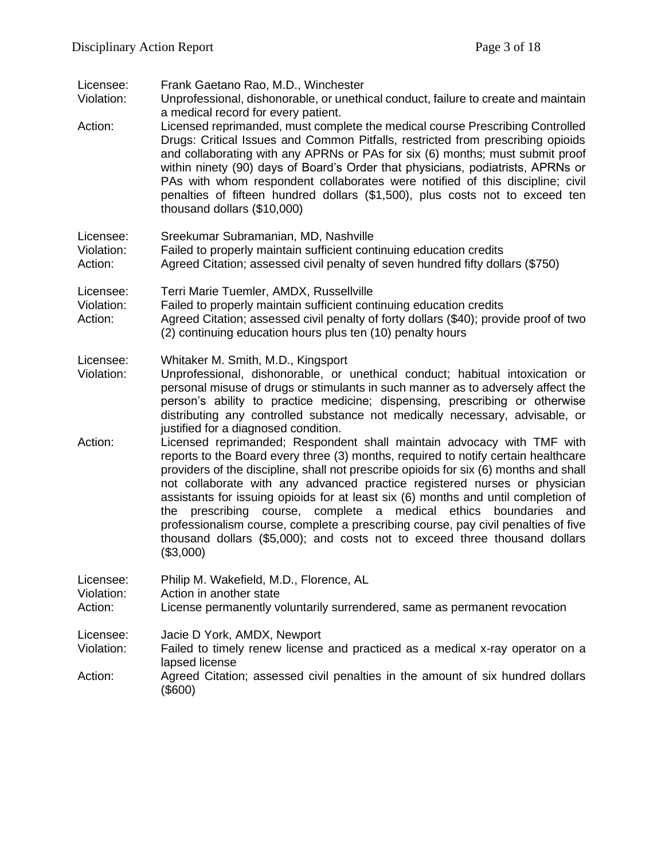| Licensee:<br>Violation:<br>Action: | Frank Gaetano Rao, M.D., Winchester<br>Unprofessional, dishonorable, or unethical conduct, failure to create and maintain<br>a medical record for every patient.<br>Licensed reprimanded, must complete the medical course Prescribing Controlled<br>Drugs: Critical Issues and Common Pitfalls, restricted from prescribing opioids<br>and collaborating with any APRNs or PAs for six (6) months; must submit proof<br>within ninety (90) days of Board's Order that physicians, podiatrists, APRNs or<br>PAs with whom respondent collaborates were notified of this discipline; civil<br>penalties of fifteen hundred dollars (\$1,500), plus costs not to exceed ten<br>thousand dollars (\$10,000)                                                                                                                                                                                                                                                                                                                                                                                                |
|------------------------------------|---------------------------------------------------------------------------------------------------------------------------------------------------------------------------------------------------------------------------------------------------------------------------------------------------------------------------------------------------------------------------------------------------------------------------------------------------------------------------------------------------------------------------------------------------------------------------------------------------------------------------------------------------------------------------------------------------------------------------------------------------------------------------------------------------------------------------------------------------------------------------------------------------------------------------------------------------------------------------------------------------------------------------------------------------------------------------------------------------------|
| Licensee:<br>Violation:<br>Action: | Sreekumar Subramanian, MD, Nashville<br>Failed to properly maintain sufficient continuing education credits<br>Agreed Citation; assessed civil penalty of seven hundred fifty dollars (\$750)                                                                                                                                                                                                                                                                                                                                                                                                                                                                                                                                                                                                                                                                                                                                                                                                                                                                                                           |
| Licensee:<br>Violation:<br>Action: | Terri Marie Tuemler, AMDX, Russellville<br>Failed to properly maintain sufficient continuing education credits<br>Agreed Citation; assessed civil penalty of forty dollars (\$40); provide proof of two<br>(2) continuing education hours plus ten (10) penalty hours                                                                                                                                                                                                                                                                                                                                                                                                                                                                                                                                                                                                                                                                                                                                                                                                                                   |
| Licensee:<br>Violation:<br>Action: | Whitaker M. Smith, M.D., Kingsport<br>Unprofessional, dishonorable, or unethical conduct; habitual intoxication or<br>personal misuse of drugs or stimulants in such manner as to adversely affect the<br>person's ability to practice medicine; dispensing, prescribing or otherwise<br>distributing any controlled substance not medically necessary, advisable, or<br>justified for a diagnosed condition.<br>Licensed reprimanded; Respondent shall maintain advocacy with TMF with<br>reports to the Board every three (3) months, required to notify certain healthcare<br>providers of the discipline, shall not prescribe opioids for six (6) months and shall<br>not collaborate with any advanced practice registered nurses or physician<br>assistants for issuing opioids for at least six (6) months and until completion of<br>prescribing course, complete a medical ethics<br>boundaries<br>the<br>and<br>professionalism course, complete a prescribing course, pay civil penalties of five<br>thousand dollars (\$5,000); and costs not to exceed three thousand dollars<br>(\$3,000) |
| Licensee:<br>Violation:<br>Action: | Philip M. Wakefield, M.D., Florence, AL<br>Action in another state<br>License permanently voluntarily surrendered, same as permanent revocation                                                                                                                                                                                                                                                                                                                                                                                                                                                                                                                                                                                                                                                                                                                                                                                                                                                                                                                                                         |
| Licensee:<br>Violation:<br>Action: | Jacie D York, AMDX, Newport<br>Failed to timely renew license and practiced as a medical x-ray operator on a<br>lapsed license<br>Agreed Citation; assessed civil penalties in the amount of six hundred dollars<br>$(\$600)$                                                                                                                                                                                                                                                                                                                                                                                                                                                                                                                                                                                                                                                                                                                                                                                                                                                                           |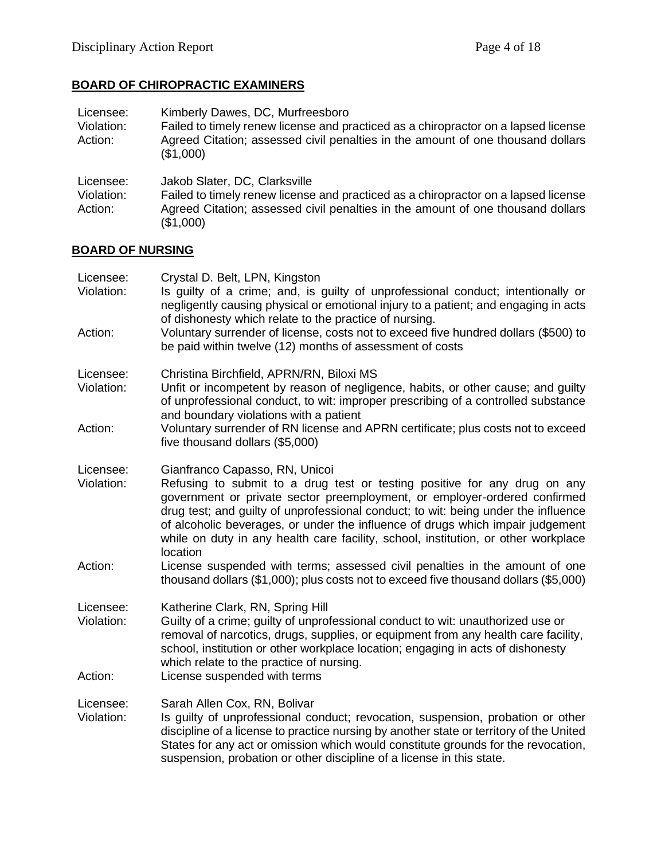## **BOARD OF CHIROPRACTIC EXAMINERS**

| Licensee:<br>Violation:<br>Action: | Kimberly Dawes, DC, Murfreesboro<br>Failed to timely renew license and practiced as a chiropractor on a lapsed license<br>Agreed Citation; assessed civil penalties in the amount of one thousand dollars<br>(\$1,000) |
|------------------------------------|------------------------------------------------------------------------------------------------------------------------------------------------------------------------------------------------------------------------|
| Licensee:<br>Violation:<br>Action: | Jakob Slater, DC, Clarksville<br>Failed to timely renew license and practiced as a chiropractor on a lapsed license<br>Agreed Citation; assessed civil penalties in the amount of one thousand dollars<br>(\$1,000)    |

# **BOARD OF NURSING**

| Licensee:<br>Violation:<br>Action: | Crystal D. Belt, LPN, Kingston<br>Is guilty of a crime; and, is guilty of unprofessional conduct; intentionally or<br>negligently causing physical or emotional injury to a patient; and engaging in acts<br>of dishonesty which relate to the practice of nursing.<br>Voluntary surrender of license, costs not to exceed five hundred dollars (\$500) to<br>be paid within twelve (12) months of assessment of costs                                                                                                                            |
|------------------------------------|---------------------------------------------------------------------------------------------------------------------------------------------------------------------------------------------------------------------------------------------------------------------------------------------------------------------------------------------------------------------------------------------------------------------------------------------------------------------------------------------------------------------------------------------------|
| Licensee:<br>Violation:<br>Action: | Christina Birchfield, APRN/RN, Biloxi MS<br>Unfit or incompetent by reason of negligence, habits, or other cause; and guilty<br>of unprofessional conduct, to wit: improper prescribing of a controlled substance<br>and boundary violations with a patient<br>Voluntary surrender of RN license and APRN certificate; plus costs not to exceed<br>five thousand dollars (\$5,000)                                                                                                                                                                |
| Licensee:<br>Violation:<br>Action: | Gianfranco Capasso, RN, Unicoi<br>Refusing to submit to a drug test or testing positive for any drug on any<br>government or private sector preemployment, or employer-ordered confirmed<br>drug test; and guilty of unprofessional conduct; to wit: being under the influence<br>of alcoholic beverages, or under the influence of drugs which impair judgement<br>while on duty in any health care facility, school, institution, or other workplace<br>location<br>License suspended with terms; assessed civil penalties in the amount of one |
|                                    | thousand dollars (\$1,000); plus costs not to exceed five thousand dollars (\$5,000)                                                                                                                                                                                                                                                                                                                                                                                                                                                              |
| Licensee:<br>Violation:<br>Action: | Katherine Clark, RN, Spring Hill<br>Guilty of a crime; guilty of unprofessional conduct to wit: unauthorized use or<br>removal of narcotics, drugs, supplies, or equipment from any health care facility,<br>school, institution or other workplace location; engaging in acts of dishonesty<br>which relate to the practice of nursing.<br>License suspended with terms                                                                                                                                                                          |
|                                    |                                                                                                                                                                                                                                                                                                                                                                                                                                                                                                                                                   |
| Licensee:<br>Violation:            | Sarah Allen Cox, RN, Bolivar<br>Is guilty of unprofessional conduct; revocation, suspension, probation or other<br>discipline of a license to practice nursing by another state or territory of the United<br>States for any act or omission which would constitute grounds for the revocation,<br>suspension, probation or other discipline of a license in this state.                                                                                                                                                                          |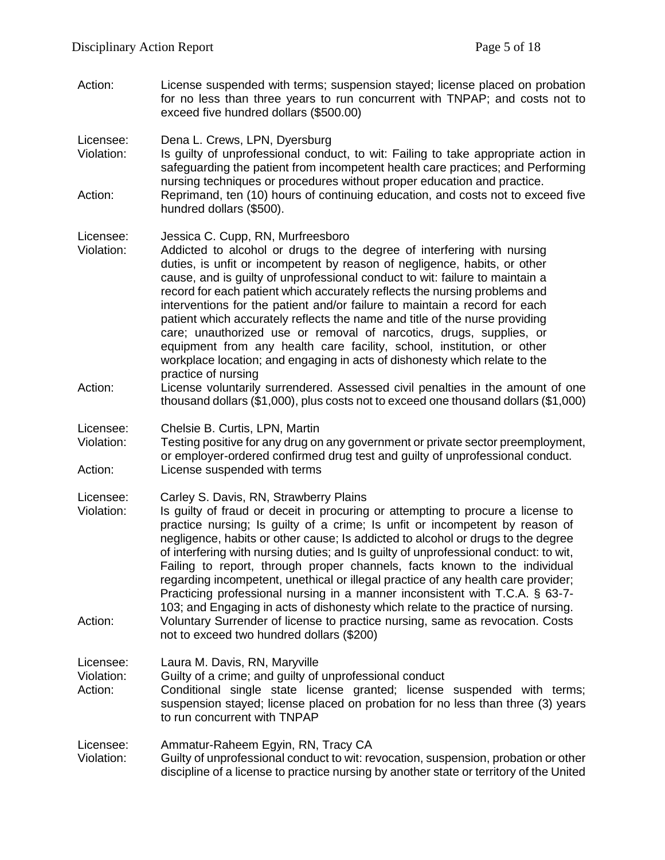Action: License suspended with terms; suspension stayed; license placed on probation for no less than three years to run concurrent with TNPAP; and costs not to exceed five hundred dollars (\$500.00)

Licensee: Dena L. Crews, LPN, Dyersburg

- Violation: Is guilty of unprofessional conduct, to wit: Failing to take appropriate action in safeguarding the patient from incompetent health care practices; and Performing nursing techniques or procedures without proper education and practice.
- Action: Reprimand, ten (10) hours of continuing education, and costs not to exceed five hundred dollars (\$500).

Licensee: Jessica C. Cupp, RN, Murfreesboro

- Violation: Addicted to alcohol or drugs to the degree of interfering with nursing duties, is unfit or incompetent by reason of negligence, habits, or other cause, and is guilty of unprofessional conduct to wit: failure to maintain a record for each patient which accurately reflects the nursing problems and interventions for the patient and/or failure to maintain a record for each patient which accurately reflects the name and title of the nurse providing care; unauthorized use or removal of narcotics, drugs, supplies, or equipment from any health care facility, school, institution, or other workplace location; and engaging in acts of dishonesty which relate to the practice of nursing
- Action: License voluntarily surrendered. Assessed civil penalties in the amount of one thousand dollars (\$1,000), plus costs not to exceed one thousand dollars (\$1,000)
- Licensee: Chelsie B. Curtis, LPN, Martin
- Violation: Testing positive for any drug on any government or private sector preemployment, or employer-ordered confirmed drug test and guilty of unprofessional conduct. Action: License suspended with terms

Licensee: Carley S. Davis, RN, Strawberry Plains

Violation: Is guilty of fraud or deceit in procuring or attempting to procure a license to practice nursing; Is guilty of a crime; Is unfit or incompetent by reason of negligence, habits or other cause; Is addicted to alcohol or drugs to the degree of interfering with nursing duties; and Is guilty of unprofessional conduct: to wit, Failing to report, through proper channels, facts known to the individual regarding incompetent, unethical or illegal practice of any health care provider; Practicing professional nursing in a manner inconsistent with T.C.A. § 63-7- 103; and Engaging in acts of dishonesty which relate to the practice of nursing. Action: Voluntary Surrender of license to practice nursing, same as revocation. Costs not to exceed two hundred dollars (\$200)

Licensee: Laura M. Davis, RN, Maryville

Violation: Guilty of a crime; and guilty of unprofessional conduct

Action: Conditional single state license granted; license suspended with terms; suspension stayed; license placed on probation for no less than three (3) years to run concurrent with TNPAP

Licensee: Ammatur-Raheem Egyin, RN, Tracy CA

Violation: Guilty of unprofessional conduct to wit: revocation, suspension, probation or other discipline of a license to practice nursing by another state or territory of the United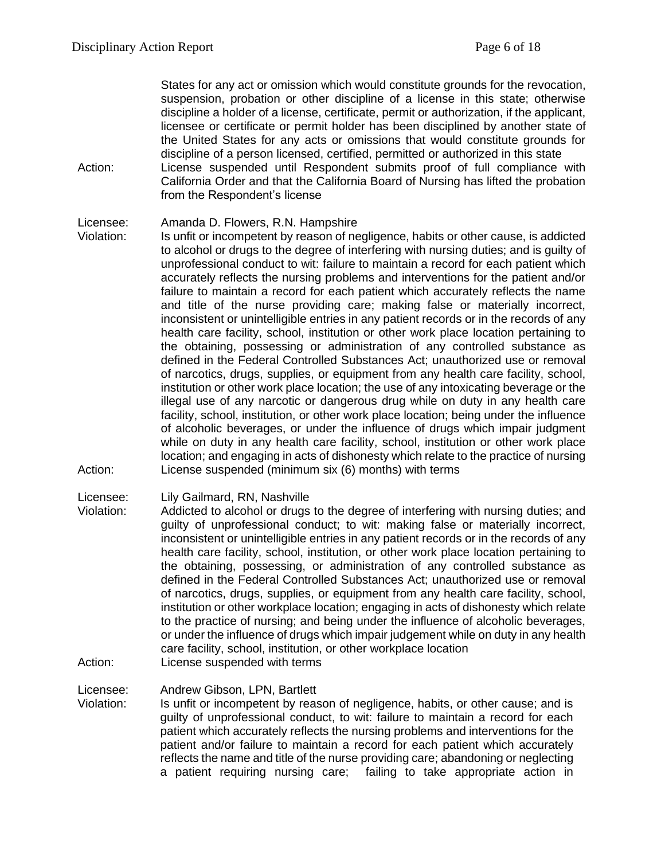States for any act or omission which would constitute grounds for the revocation, suspension, probation or other discipline of a license in this state; otherwise discipline a holder of a license, certificate, permit or authorization, if the applicant, licensee or certificate or permit holder has been disciplined by another state of the United States for any acts or omissions that would constitute grounds for discipline of a person licensed, certified, permitted or authorized in this state

Action: License suspended until Respondent submits proof of full compliance with California Order and that the California Board of Nursing has lifted the probation from the Respondent's license

#### Licensee: Amanda D. Flowers, R.N. Hampshire

Violation: Is unfit or incompetent by reason of negligence, habits or other cause, is addicted to alcohol or drugs to the degree of interfering with nursing duties; and is guilty of unprofessional conduct to wit: failure to maintain a record for each patient which accurately reflects the nursing problems and interventions for the patient and/or failure to maintain a record for each patient which accurately reflects the name and title of the nurse providing care; making false or materially incorrect, inconsistent or unintelligible entries in any patient records or in the records of any health care facility, school, institution or other work place location pertaining to the obtaining, possessing or administration of any controlled substance as defined in the Federal Controlled Substances Act; unauthorized use or removal of narcotics, drugs, supplies, or equipment from any health care facility, school, institution or other work place location; the use of any intoxicating beverage or the illegal use of any narcotic or dangerous drug while on duty in any health care facility, school, institution, or other work place location; being under the influence of alcoholic beverages, or under the influence of drugs which impair judgment while on duty in any health care facility, school, institution or other work place location; and engaging in acts of dishonesty which relate to the practice of nursing Action: License suspended (minimum six (6) months) with terms

#### Licensee: Lily Gailmard, RN, Nashville

Violation: Addicted to alcohol or drugs to the degree of interfering with nursing duties; and guilty of unprofessional conduct; to wit: making false or materially incorrect, inconsistent or unintelligible entries in any patient records or in the records of any health care facility, school, institution, or other work place location pertaining to the obtaining, possessing, or administration of any controlled substance as defined in the Federal Controlled Substances Act; unauthorized use or removal of narcotics, drugs, supplies, or equipment from any health care facility, school, institution or other workplace location; engaging in acts of dishonesty which relate to the practice of nursing; and being under the influence of alcoholic beverages, or under the influence of drugs which impair judgement while on duty in any health care facility, school, institution, or other workplace location Action: License suspended with terms

#### Licensee: Andrew Gibson, LPN, Bartlett

Violation: Is unfit or incompetent by reason of negligence, habits, or other cause; and is guilty of unprofessional conduct, to wit: failure to maintain a record for each patient which accurately reflects the nursing problems and interventions for the patient and/or failure to maintain a record for each patient which accurately reflects the name and title of the nurse providing care; abandoning or neglecting a patient requiring nursing care; failing to take appropriate action in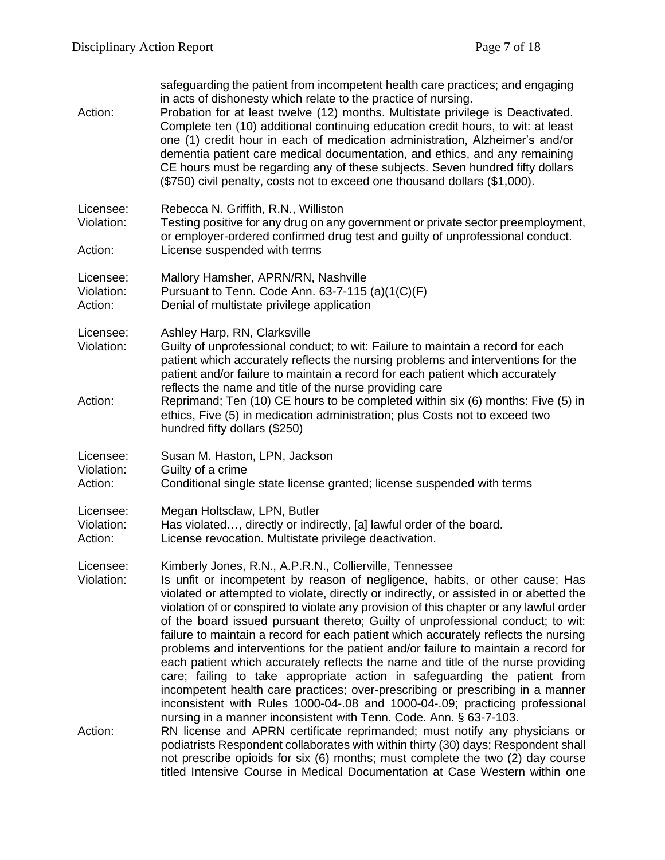| Action:                            | safeguarding the patient from incompetent health care practices; and engaging<br>in acts of dishonesty which relate to the practice of nursing.<br>Probation for at least twelve (12) months. Multistate privilege is Deactivated.<br>Complete ten (10) additional continuing education credit hours, to wit: at least<br>one (1) credit hour in each of medication administration, Alzheimer's and/or<br>dementia patient care medical documentation, and ethics, and any remaining<br>CE hours must be regarding any of these subjects. Seven hundred fifty dollars<br>(\$750) civil penalty, costs not to exceed one thousand dollars (\$1,000).                                                                                                                                                                                                                                                                                                                                                   |
|------------------------------------|-------------------------------------------------------------------------------------------------------------------------------------------------------------------------------------------------------------------------------------------------------------------------------------------------------------------------------------------------------------------------------------------------------------------------------------------------------------------------------------------------------------------------------------------------------------------------------------------------------------------------------------------------------------------------------------------------------------------------------------------------------------------------------------------------------------------------------------------------------------------------------------------------------------------------------------------------------------------------------------------------------|
| Licensee:<br>Violation:<br>Action: | Rebecca N. Griffith, R.N., Williston<br>Testing positive for any drug on any government or private sector preemployment,<br>or employer-ordered confirmed drug test and guilty of unprofessional conduct.<br>License suspended with terms                                                                                                                                                                                                                                                                                                                                                                                                                                                                                                                                                                                                                                                                                                                                                             |
| Licensee:<br>Violation:<br>Action: | Mallory Hamsher, APRN/RN, Nashville<br>Pursuant to Tenn. Code Ann. 63-7-115 (a)(1(C)(F)<br>Denial of multistate privilege application                                                                                                                                                                                                                                                                                                                                                                                                                                                                                                                                                                                                                                                                                                                                                                                                                                                                 |
| Licensee:<br>Violation:            | Ashley Harp, RN, Clarksville<br>Guilty of unprofessional conduct; to wit: Failure to maintain a record for each<br>patient which accurately reflects the nursing problems and interventions for the<br>patient and/or failure to maintain a record for each patient which accurately                                                                                                                                                                                                                                                                                                                                                                                                                                                                                                                                                                                                                                                                                                                  |
| Action:                            | reflects the name and title of the nurse providing care<br>Reprimand; Ten (10) CE hours to be completed within six (6) months: Five (5) in<br>ethics, Five (5) in medication administration; plus Costs not to exceed two<br>hundred fifty dollars (\$250)                                                                                                                                                                                                                                                                                                                                                                                                                                                                                                                                                                                                                                                                                                                                            |
| Licensee:<br>Violation:<br>Action: | Susan M. Haston, LPN, Jackson<br>Guilty of a crime<br>Conditional single state license granted; license suspended with terms                                                                                                                                                                                                                                                                                                                                                                                                                                                                                                                                                                                                                                                                                                                                                                                                                                                                          |
| Licensee:<br>Violation:<br>Action: | Megan Holtsclaw, LPN, Butler<br>Has violated, directly or indirectly, [a] lawful order of the board.<br>License revocation. Multistate privilege deactivation.                                                                                                                                                                                                                                                                                                                                                                                                                                                                                                                                                                                                                                                                                                                                                                                                                                        |
| Licensee:<br>Violation:            | Kimberly Jones, R.N., A.P.R.N., Collierville, Tennessee<br>Is unfit or incompetent by reason of negligence, habits, or other cause; Has<br>violated or attempted to violate, directly or indirectly, or assisted in or abetted the<br>violation of or conspired to violate any provision of this chapter or any lawful order<br>of the board issued pursuant thereto; Guilty of unprofessional conduct; to wit:<br>failure to maintain a record for each patient which accurately reflects the nursing<br>problems and interventions for the patient and/or failure to maintain a record for<br>each patient which accurately reflects the name and title of the nurse providing<br>care; failing to take appropriate action in safeguarding the patient from<br>incompetent health care practices; over-prescribing or prescribing in a manner<br>inconsistent with Rules 1000-04-.08 and 1000-04-.09; practicing professional<br>nursing in a manner inconsistent with Tenn. Code. Ann. § 63-7-103. |
| Action:                            | RN license and APRN certificate reprimanded; must notify any physicians or<br>podiatrists Respondent collaborates with within thirty (30) days; Respondent shall<br>not prescribe opioids for six (6) months; must complete the two (2) day course<br>titled Intensive Course in Medical Documentation at Case Western within one                                                                                                                                                                                                                                                                                                                                                                                                                                                                                                                                                                                                                                                                     |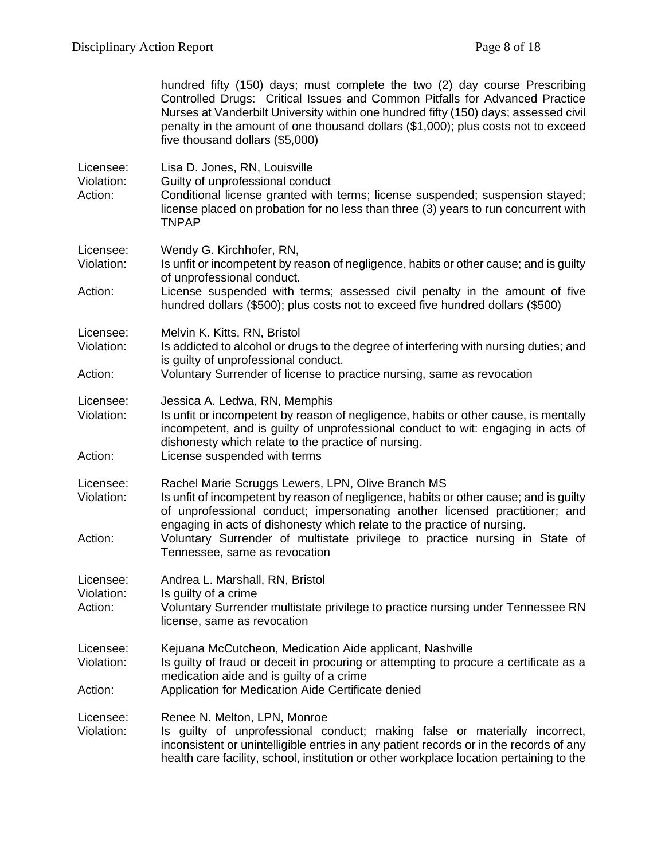|                                    | hundred fifty (150) days; must complete the two (2) day course Prescribing<br>Controlled Drugs: Critical Issues and Common Pitfalls for Advanced Practice<br>Nurses at Vanderbilt University within one hundred fifty (150) days; assessed civil<br>penalty in the amount of one thousand dollars (\$1,000); plus costs not to exceed<br>five thousand dollars (\$5,000)            |
|------------------------------------|-------------------------------------------------------------------------------------------------------------------------------------------------------------------------------------------------------------------------------------------------------------------------------------------------------------------------------------------------------------------------------------|
| Licensee:<br>Violation:<br>Action: | Lisa D. Jones, RN, Louisville<br>Guilty of unprofessional conduct<br>Conditional license granted with terms; license suspended; suspension stayed;<br>license placed on probation for no less than three (3) years to run concurrent with<br><b>TNPAP</b>                                                                                                                           |
| Licensee:<br>Violation:            | Wendy G. Kirchhofer, RN,<br>Is unfit or incompetent by reason of negligence, habits or other cause; and is guilty                                                                                                                                                                                                                                                                   |
| Action:                            | of unprofessional conduct.<br>License suspended with terms; assessed civil penalty in the amount of five<br>hundred dollars (\$500); plus costs not to exceed five hundred dollars (\$500)                                                                                                                                                                                          |
| Licensee:<br>Violation:            | Melvin K. Kitts, RN, Bristol<br>Is addicted to alcohol or drugs to the degree of interfering with nursing duties; and<br>is guilty of unprofessional conduct.                                                                                                                                                                                                                       |
| Action:                            | Voluntary Surrender of license to practice nursing, same as revocation                                                                                                                                                                                                                                                                                                              |
| Licensee:<br>Violation:<br>Action: | Jessica A. Ledwa, RN, Memphis<br>Is unfit or incompetent by reason of negligence, habits or other cause, is mentally<br>incompetent, and is guilty of unprofessional conduct to wit: engaging in acts of<br>dishonesty which relate to the practice of nursing.<br>License suspended with terms                                                                                     |
| Licensee:<br>Violation:<br>Action: | Rachel Marie Scruggs Lewers, LPN, Olive Branch MS<br>Is unfit of incompetent by reason of negligence, habits or other cause; and is guilty<br>of unprofessional conduct; impersonating another licensed practitioner; and<br>engaging in acts of dishonesty which relate to the practice of nursing.<br>Voluntary Surrender of multistate privilege to practice nursing in State of |
|                                    | Tennessee, same as revocation                                                                                                                                                                                                                                                                                                                                                       |
| Licensee:<br>Violation:<br>Action: | Andrea L. Marshall, RN, Bristol<br>Is guilty of a crime<br>Voluntary Surrender multistate privilege to practice nursing under Tennessee RN<br>license, same as revocation                                                                                                                                                                                                           |
| Licensee:<br>Violation:            | Kejuana McCutcheon, Medication Aide applicant, Nashville<br>Is guilty of fraud or deceit in procuring or attempting to procure a certificate as a<br>medication aide and is guilty of a crime                                                                                                                                                                                       |
| Action:                            | Application for Medication Aide Certificate denied                                                                                                                                                                                                                                                                                                                                  |
| Licensee:<br>Violation:            | Renee N. Melton, LPN, Monroe<br>Is guilty of unprofessional conduct; making false or materially incorrect,<br>inconsistent or unintelligible entries in any patient records or in the records of any<br>health care facility, school, institution or other workplace location pertaining to the                                                                                     |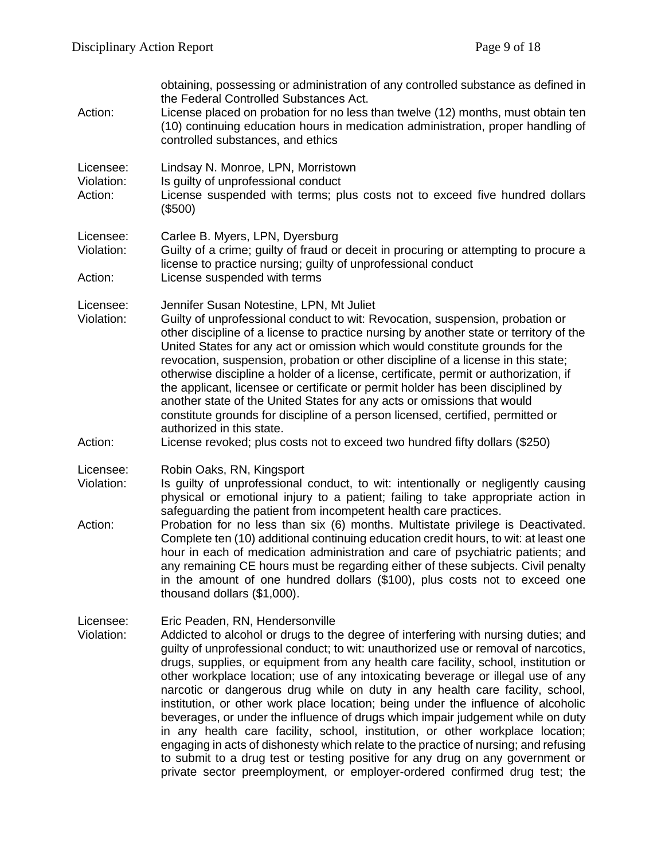| Action:                            | obtaining, possessing or administration of any controlled substance as defined in<br>the Federal Controlled Substances Act.<br>License placed on probation for no less than twelve (12) months, must obtain ten<br>(10) continuing education hours in medication administration, proper handling of<br>controlled substances, and ethics                                                                                                                                                                                                                                                                                                                                                                                                                                                                                                                                                                                                                                                   |
|------------------------------------|--------------------------------------------------------------------------------------------------------------------------------------------------------------------------------------------------------------------------------------------------------------------------------------------------------------------------------------------------------------------------------------------------------------------------------------------------------------------------------------------------------------------------------------------------------------------------------------------------------------------------------------------------------------------------------------------------------------------------------------------------------------------------------------------------------------------------------------------------------------------------------------------------------------------------------------------------------------------------------------------|
| Licensee:<br>Violation:<br>Action: | Lindsay N. Monroe, LPN, Morristown<br>Is guilty of unprofessional conduct<br>License suspended with terms; plus costs not to exceed five hundred dollars<br>(\$500)                                                                                                                                                                                                                                                                                                                                                                                                                                                                                                                                                                                                                                                                                                                                                                                                                        |
| Licensee:<br>Violation:<br>Action: | Carlee B. Myers, LPN, Dyersburg<br>Guilty of a crime; guilty of fraud or deceit in procuring or attempting to procure a<br>license to practice nursing; guilty of unprofessional conduct<br>License suspended with terms                                                                                                                                                                                                                                                                                                                                                                                                                                                                                                                                                                                                                                                                                                                                                                   |
| Licensee:<br>Violation:            | Jennifer Susan Notestine, LPN, Mt Juliet<br>Guilty of unprofessional conduct to wit: Revocation, suspension, probation or<br>other discipline of a license to practice nursing by another state or territory of the<br>United States for any act or omission which would constitute grounds for the<br>revocation, suspension, probation or other discipline of a license in this state;<br>otherwise discipline a holder of a license, certificate, permit or authorization, if<br>the applicant, licensee or certificate or permit holder has been disciplined by<br>another state of the United States for any acts or omissions that would<br>constitute grounds for discipline of a person licensed, certified, permitted or<br>authorized in this state.                                                                                                                                                                                                                             |
| Action:                            | License revoked; plus costs not to exceed two hundred fifty dollars (\$250)                                                                                                                                                                                                                                                                                                                                                                                                                                                                                                                                                                                                                                                                                                                                                                                                                                                                                                                |
| Licensee:<br>Violation:<br>Action: | Robin Oaks, RN, Kingsport<br>Is quilty of unprofessional conduct, to wit: intentionally or negligently causing<br>physical or emotional injury to a patient; failing to take appropriate action in<br>safeguarding the patient from incompetent health care practices.<br>Probation for no less than six (6) months. Multistate privilege is Deactivated.<br>Complete ten (10) additional continuing education credit hours, to wit: at least one<br>hour in each of medication administration and care of psychiatric patients; and<br>any remaining CE hours must be regarding either of these subjects. Civil penalty<br>in the amount of one hundred dollars (\$100), plus costs not to exceed one<br>thousand dollars (\$1,000).                                                                                                                                                                                                                                                      |
| Licensee:<br>Violation:            | Eric Peaden, RN, Hendersonville<br>Addicted to alcohol or drugs to the degree of interfering with nursing duties; and<br>guilty of unprofessional conduct; to wit: unauthorized use or removal of narcotics,<br>drugs, supplies, or equipment from any health care facility, school, institution or<br>other workplace location; use of any intoxicating beverage or illegal use of any<br>narcotic or dangerous drug while on duty in any health care facility, school,<br>institution, or other work place location; being under the influence of alcoholic<br>beverages, or under the influence of drugs which impair judgement while on duty<br>in any health care facility, school, institution, or other workplace location;<br>engaging in acts of dishonesty which relate to the practice of nursing; and refusing<br>to submit to a drug test or testing positive for any drug on any government or<br>private sector preemployment, or employer-ordered confirmed drug test; the |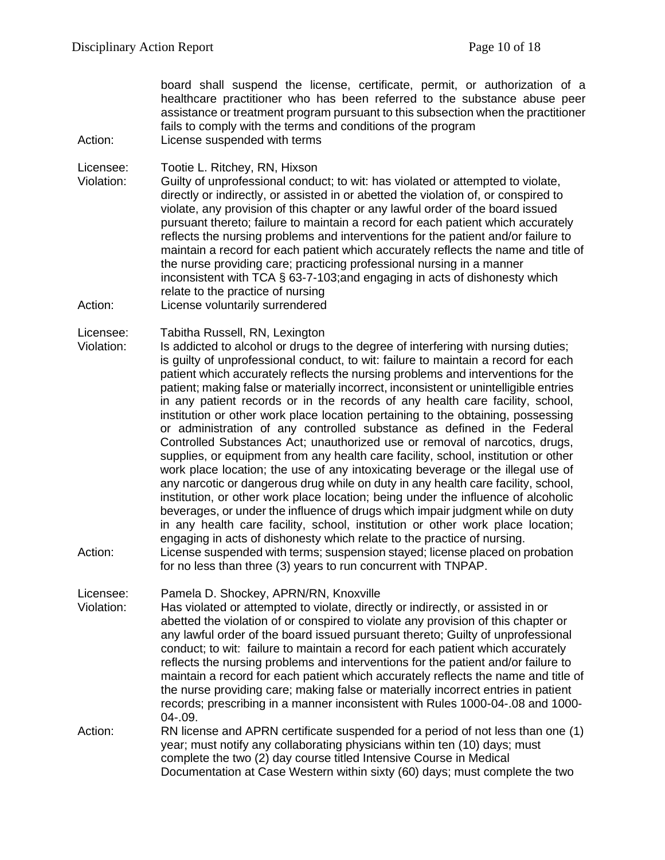board shall suspend the license, certificate, permit, or authorization of a healthcare practitioner who has been referred to the substance abuse peer assistance or treatment program pursuant to this subsection when the practitioner fails to comply with the terms and conditions of the program Action: License suspended with terms

Licensee: Tootie L. Ritchey, RN, Hixson

Violation: Guilty of unprofessional conduct; to wit: has violated or attempted to violate, directly or indirectly, or assisted in or abetted the violation of, or conspired to violate, any provision of this chapter or any lawful order of the board issued pursuant thereto; failure to maintain a record for each patient which accurately reflects the nursing problems and interventions for the patient and/or failure to maintain a record for each patient which accurately reflects the name and title of the nurse providing care; practicing professional nursing in a manner inconsistent with TCA § 63-7-103;and engaging in acts of dishonesty which relate to the practice of nursing

Action: License voluntarily surrendered

Licensee: Tabitha Russell, RN, Lexington

Violation: Is addicted to alcohol or drugs to the degree of interfering with nursing duties; is guilty of unprofessional conduct, to wit: failure to maintain a record for each patient which accurately reflects the nursing problems and interventions for the patient; making false or materially incorrect, inconsistent or unintelligible entries in any patient records or in the records of any health care facility, school, institution or other work place location pertaining to the obtaining, possessing or administration of any controlled substance as defined in the Federal Controlled Substances Act; unauthorized use or removal of narcotics, drugs, supplies, or equipment from any health care facility, school, institution or other work place location; the use of any intoxicating beverage or the illegal use of any narcotic or dangerous drug while on duty in any health care facility, school, institution, or other work place location; being under the influence of alcoholic beverages, or under the influence of drugs which impair judgment while on duty in any health care facility, school, institution or other work place location; engaging in acts of dishonesty which relate to the practice of nursing.

Action: License suspended with terms; suspension stayed; license placed on probation for no less than three (3) years to run concurrent with TNPAP.

Licensee: Pamela D. Shockey, APRN/RN, Knoxville

Violation: Has violated or attempted to violate, directly or indirectly, or assisted in or abetted the violation of or conspired to violate any provision of this chapter or any lawful order of the board issued pursuant thereto; Guilty of unprofessional conduct; to wit: failure to maintain a record for each patient which accurately reflects the nursing problems and interventions for the patient and/or failure to maintain a record for each patient which accurately reflects the name and title of the nurse providing care; making false or materially incorrect entries in patient records; prescribing in a manner inconsistent with Rules 1000-04-.08 and 1000- 04-.09.

Action: RN license and APRN certificate suspended for a period of not less than one (1) year; must notify any collaborating physicians within ten (10) days; must complete the two (2) day course titled Intensive Course in Medical Documentation at Case Western within sixty (60) days; must complete the two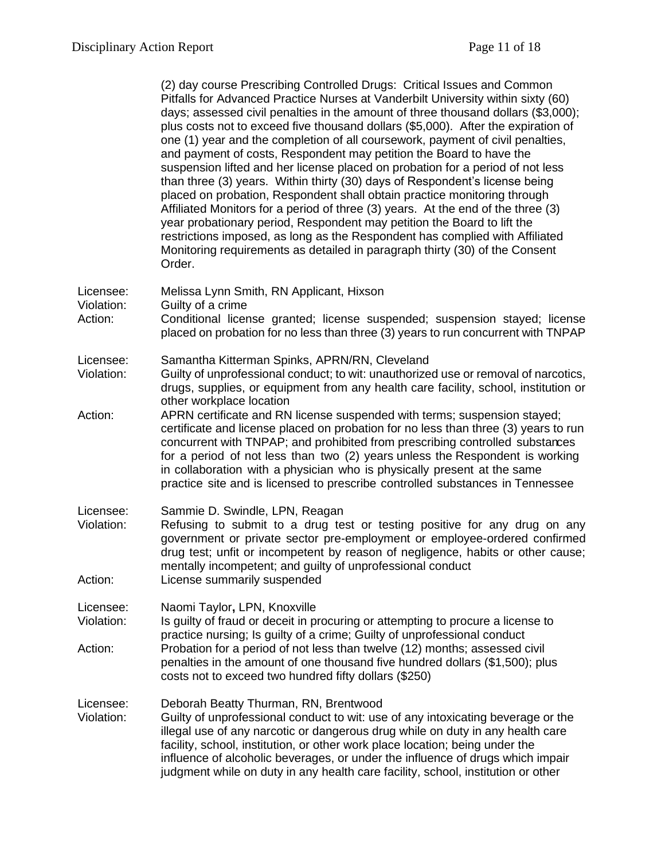|                                    | (2) day course Prescribing Controlled Drugs: Critical Issues and Common<br>Pitfalls for Advanced Practice Nurses at Vanderbilt University within sixty (60)<br>days; assessed civil penalties in the amount of three thousand dollars (\$3,000);<br>plus costs not to exceed five thousand dollars (\$5,000). After the expiration of<br>one (1) year and the completion of all coursework, payment of civil penalties,<br>and payment of costs, Respondent may petition the Board to have the<br>suspension lifted and her license placed on probation for a period of not less<br>than three (3) years. Within thirty (30) days of Respondent's license being<br>placed on probation, Respondent shall obtain practice monitoring through<br>Affiliated Monitors for a period of three (3) years. At the end of the three (3)<br>year probationary period, Respondent may petition the Board to lift the<br>restrictions imposed, as long as the Respondent has complied with Affiliated<br>Monitoring requirements as detailed in paragraph thirty (30) of the Consent<br>Order. |
|------------------------------------|-------------------------------------------------------------------------------------------------------------------------------------------------------------------------------------------------------------------------------------------------------------------------------------------------------------------------------------------------------------------------------------------------------------------------------------------------------------------------------------------------------------------------------------------------------------------------------------------------------------------------------------------------------------------------------------------------------------------------------------------------------------------------------------------------------------------------------------------------------------------------------------------------------------------------------------------------------------------------------------------------------------------------------------------------------------------------------------|
| Licensee:<br>Violation:            | Melissa Lynn Smith, RN Applicant, Hixson<br>Guilty of a crime                                                                                                                                                                                                                                                                                                                                                                                                                                                                                                                                                                                                                                                                                                                                                                                                                                                                                                                                                                                                                       |
| Action:                            | Conditional license granted; license suspended; suspension stayed; license<br>placed on probation for no less than three (3) years to run concurrent with TNPAP                                                                                                                                                                                                                                                                                                                                                                                                                                                                                                                                                                                                                                                                                                                                                                                                                                                                                                                     |
| Licensee:<br>Violation:            | Samantha Kitterman Spinks, APRN/RN, Cleveland<br>Guilty of unprofessional conduct; to wit: unauthorized use or removal of narcotics,<br>drugs, supplies, or equipment from any health care facility, school, institution or<br>other workplace location                                                                                                                                                                                                                                                                                                                                                                                                                                                                                                                                                                                                                                                                                                                                                                                                                             |
| Action:                            | APRN certificate and RN license suspended with terms; suspension stayed;<br>certificate and license placed on probation for no less than three (3) years to run<br>concurrent with TNPAP; and prohibited from prescribing controlled substances<br>for a period of not less than two (2) years unless the Respondent is working<br>in collaboration with a physician who is physically present at the same<br>practice site and is licensed to prescribe controlled substances in Tennessee                                                                                                                                                                                                                                                                                                                                                                                                                                                                                                                                                                                         |
| Licensee:<br>Violation:<br>Action: | Sammie D. Swindle, LPN, Reagan<br>Refusing to submit to a drug test or testing positive for any drug on any<br>government or private sector pre-employment or employee-ordered confirmed<br>drug test; unfit or incompetent by reason of negligence, habits or other cause;<br>mentally incompetent; and guilty of unprofessional conduct<br>License summarily suspended                                                                                                                                                                                                                                                                                                                                                                                                                                                                                                                                                                                                                                                                                                            |
|                                    |                                                                                                                                                                                                                                                                                                                                                                                                                                                                                                                                                                                                                                                                                                                                                                                                                                                                                                                                                                                                                                                                                     |
| Licensee:<br>Violation:            | Naomi Taylor, LPN, Knoxville<br>Is guilty of fraud or deceit in procuring or attempting to procure a license to<br>practice nursing; Is guilty of a crime; Guilty of unprofessional conduct                                                                                                                                                                                                                                                                                                                                                                                                                                                                                                                                                                                                                                                                                                                                                                                                                                                                                         |
| Action:                            | Probation for a period of not less than twelve (12) months; assessed civil<br>penalties in the amount of one thousand five hundred dollars (\$1,500); plus<br>costs not to exceed two hundred fifty dollars (\$250)                                                                                                                                                                                                                                                                                                                                                                                                                                                                                                                                                                                                                                                                                                                                                                                                                                                                 |
| Licensee:<br>Violation:            | Deborah Beatty Thurman, RN, Brentwood<br>Guilty of unprofessional conduct to wit: use of any intoxicating beverage or the<br>illegal use of any narcotic or dangerous drug while on duty in any health care<br>facility, school, institution, or other work place location; being under the<br>influence of alcoholic beverages, or under the influence of drugs which impair<br>judgment while on duty in any health care facility, school, institution or other                                                                                                                                                                                                                                                                                                                                                                                                                                                                                                                                                                                                                   |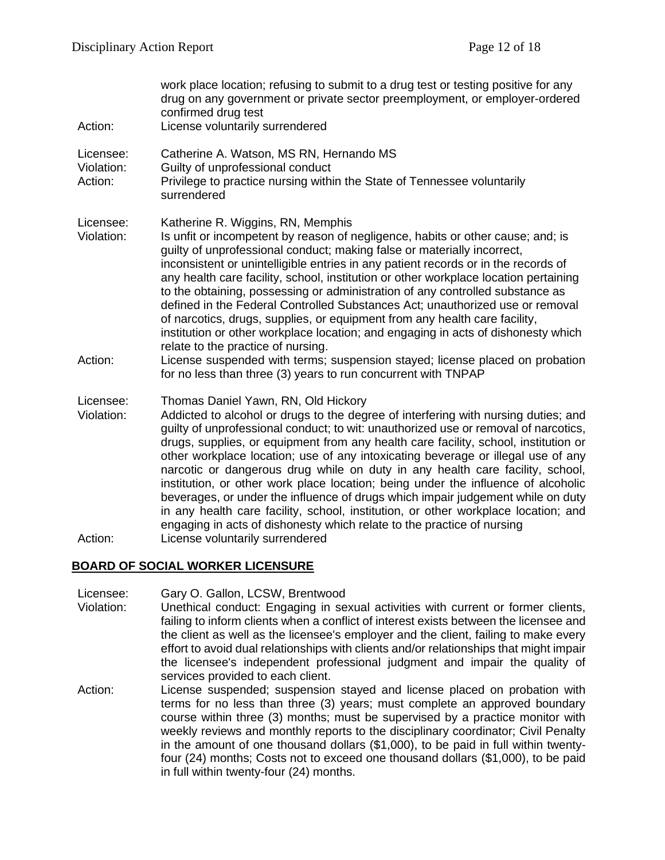| Action:                            | work place location; refusing to submit to a drug test or testing positive for any<br>drug on any government or private sector preemployment, or employer-ordered<br>confirmed drug test<br>License voluntarily surrendered                                                                                                                                                                                                                                                                                                                                                                                                                                                                                                                                                                                          |
|------------------------------------|----------------------------------------------------------------------------------------------------------------------------------------------------------------------------------------------------------------------------------------------------------------------------------------------------------------------------------------------------------------------------------------------------------------------------------------------------------------------------------------------------------------------------------------------------------------------------------------------------------------------------------------------------------------------------------------------------------------------------------------------------------------------------------------------------------------------|
| Licensee:<br>Violation:<br>Action: | Catherine A. Watson, MS RN, Hernando MS<br>Guilty of unprofessional conduct<br>Privilege to practice nursing within the State of Tennessee voluntarily<br>surrendered                                                                                                                                                                                                                                                                                                                                                                                                                                                                                                                                                                                                                                                |
| Licensee:<br>Violation:            | Katherine R. Wiggins, RN, Memphis<br>Is unfit or incompetent by reason of negligence, habits or other cause; and; is<br>guilty of unprofessional conduct; making false or materially incorrect,<br>inconsistent or unintelligible entries in any patient records or in the records of<br>any health care facility, school, institution or other workplace location pertaining<br>to the obtaining, possessing or administration of any controlled substance as<br>defined in the Federal Controlled Substances Act; unauthorized use or removal<br>of narcotics, drugs, supplies, or equipment from any health care facility,<br>institution or other workplace location; and engaging in acts of dishonesty which<br>relate to the practice of nursing.                                                             |
| Action:                            | License suspended with terms; suspension stayed; license placed on probation<br>for no less than three (3) years to run concurrent with TNPAP                                                                                                                                                                                                                                                                                                                                                                                                                                                                                                                                                                                                                                                                        |
| Licensee:<br>Violation:            | Thomas Daniel Yawn, RN, Old Hickory<br>Addicted to alcohol or drugs to the degree of interfering with nursing duties; and<br>guilty of unprofessional conduct; to wit: unauthorized use or removal of narcotics,<br>drugs, supplies, or equipment from any health care facility, school, institution or<br>other workplace location; use of any intoxicating beverage or illegal use of any<br>narcotic or dangerous drug while on duty in any health care facility, school,<br>institution, or other work place location; being under the influence of alcoholic<br>beverages, or under the influence of drugs which impair judgement while on duty<br>in any health care facility, school, institution, or other workplace location; and<br>engaging in acts of dishonesty which relate to the practice of nursing |

#### Action: License voluntarily surrendered

### **BOARD OF SOCIAL WORKER LICENSURE**

- Licensee: Gary O. Gallon, LCSW, Brentwood
- Violation: Unethical conduct: Engaging in sexual activities with current or former clients, failing to inform clients when a conflict of interest exists between the licensee and the client as well as the licensee's employer and the client, failing to make every effort to avoid dual relationships with clients and/or relationships that might impair the licensee's independent professional judgment and impair the quality of services provided to each client.
- Action: License suspended; suspension stayed and license placed on probation with terms for no less than three (3) years; must complete an approved boundary course within three (3) months; must be supervised by a practice monitor with weekly reviews and monthly reports to the disciplinary coordinator; Civil Penalty in the amount of one thousand dollars (\$1,000), to be paid in full within twentyfour (24) months; Costs not to exceed one thousand dollars (\$1,000), to be paid in full within twenty-four (24) months.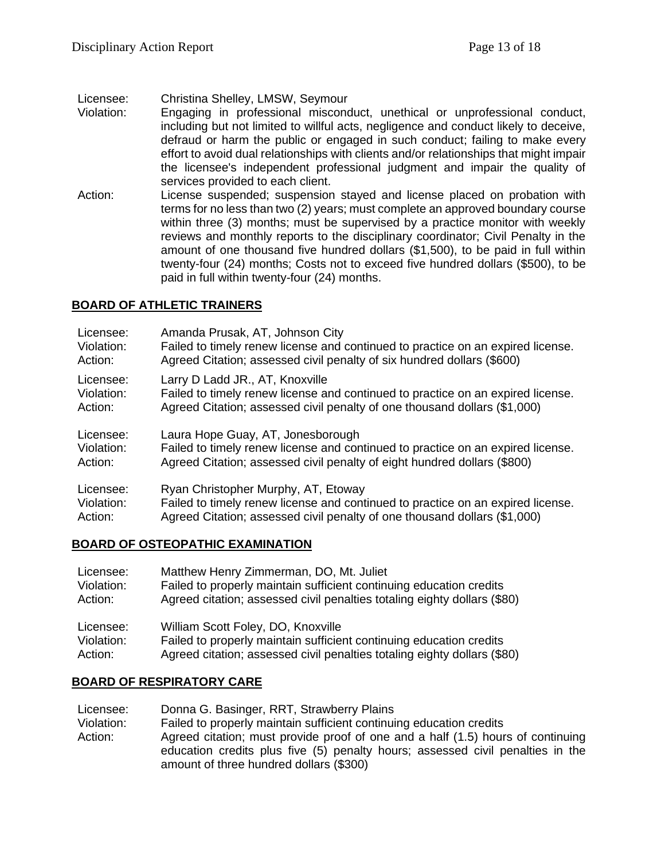Licensee: Christina Shelley, LMSW, Seymour

- Violation: Engaging in professional misconduct, unethical or unprofessional conduct, including but not limited to willful acts, negligence and conduct likely to deceive, defraud or harm the public or engaged in such conduct; failing to make every effort to avoid dual relationships with clients and/or relationships that might impair the licensee's independent professional judgment and impair the quality of services provided to each client.
- Action: License suspended; suspension stayed and license placed on probation with terms for no less than two (2) years; must complete an approved boundary course within three (3) months; must be supervised by a practice monitor with weekly reviews and monthly reports to the disciplinary coordinator; Civil Penalty in the amount of one thousand five hundred dollars (\$1,500), to be paid in full within twenty-four (24) months; Costs not to exceed five hundred dollars (\$500), to be paid in full within twenty-four (24) months.

## **BOARD OF ATHLETIC TRAINERS**

| Licensee:  | Amanda Prusak, AT, Johnson City                                                 |
|------------|---------------------------------------------------------------------------------|
| Violation: | Failed to timely renew license and continued to practice on an expired license. |
| Action:    | Agreed Citation; assessed civil penalty of six hundred dollars (\$600)          |
| Licensee:  | Larry D Ladd JR., AT, Knoxville                                                 |
| Violation: | Failed to timely renew license and continued to practice on an expired license. |
| Action:    | Agreed Citation; assessed civil penalty of one thousand dollars (\$1,000)       |
| Licensee:  | Laura Hope Guay, AT, Jonesborough                                               |
| Violation: | Failed to timely renew license and continued to practice on an expired license. |
| Action:    | Agreed Citation; assessed civil penalty of eight hundred dollars (\$800)        |
| Licensee:  | Ryan Christopher Murphy, AT, Etoway                                             |
| Violation: | Failed to timely renew license and continued to practice on an expired license. |
| Action:    | Agreed Citation; assessed civil penalty of one thousand dollars (\$1,000)       |

#### **BOARD OF OSTEOPATHIC EXAMINATION**

| Licensee:  | Matthew Henry Zimmerman, DO, Mt. Juliet                                  |
|------------|--------------------------------------------------------------------------|
| Violation: | Failed to properly maintain sufficient continuing education credits      |
| Action:    | Agreed citation; assessed civil penalties totaling eighty dollars (\$80) |
| Licensee:  | William Scott Foley, DO, Knoxville                                       |
| Violation: | Failed to properly maintain sufficient continuing education credits      |
| Action:    | Agreed citation; assessed civil penalties totaling eighty dollars (\$80) |

## **BOARD OF RESPIRATORY CARE**

Licensee: Donna G. Basinger, RRT, Strawberry Plains Violation: Failed to properly maintain sufficient continuing education credits Action: Agreed citation; must provide proof of one and a half (1.5) hours of continuing education credits plus five (5) penalty hours; assessed civil penalties in the amount of three hundred dollars (\$300)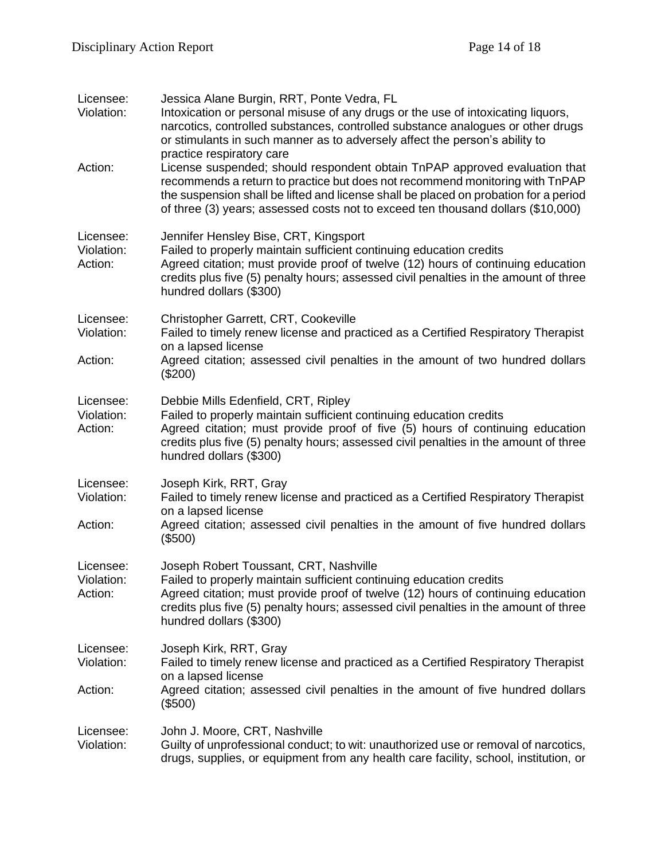| Licensee:<br>Violation:            | Jessica Alane Burgin, RRT, Ponte Vedra, FL<br>Intoxication or personal misuse of any drugs or the use of intoxicating liquors,<br>narcotics, controlled substances, controlled substance analogues or other drugs<br>or stimulants in such manner as to adversely affect the person's ability to<br>practice respiratory care          |
|------------------------------------|----------------------------------------------------------------------------------------------------------------------------------------------------------------------------------------------------------------------------------------------------------------------------------------------------------------------------------------|
| Action:                            | License suspended; should respondent obtain TnPAP approved evaluation that<br>recommends a return to practice but does not recommend monitoring with TnPAP<br>the suspension shall be lifted and license shall be placed on probation for a period<br>of three (3) years; assessed costs not to exceed ten thousand dollars (\$10,000) |
| Licensee:<br>Violation:<br>Action: | Jennifer Hensley Bise, CRT, Kingsport<br>Failed to properly maintain sufficient continuing education credits<br>Agreed citation; must provide proof of twelve (12) hours of continuing education<br>credits plus five (5) penalty hours; assessed civil penalties in the amount of three<br>hundred dollars (\$300)                    |
| Licensee:<br>Violation:<br>Action: | Christopher Garrett, CRT, Cookeville<br>Failed to timely renew license and practiced as a Certified Respiratory Therapist<br>on a lapsed license<br>Agreed citation; assessed civil penalties in the amount of two hundred dollars<br>$(\$200)$                                                                                        |
| Licensee:<br>Violation:<br>Action: | Debbie Mills Edenfield, CRT, Ripley<br>Failed to properly maintain sufficient continuing education credits<br>Agreed citation; must provide proof of five (5) hours of continuing education<br>credits plus five (5) penalty hours; assessed civil penalties in the amount of three<br>hundred dollars (\$300)                         |
| Licensee:<br>Violation:<br>Action: | Joseph Kirk, RRT, Gray<br>Failed to timely renew license and practiced as a Certified Respiratory Therapist<br>on a lapsed license<br>Agreed citation; assessed civil penalties in the amount of five hundred dollars<br>(\$500)                                                                                                       |
| Licensee:<br>Violation:<br>Action: | Joseph Robert Toussant, CRT, Nashville<br>Failed to properly maintain sufficient continuing education credits<br>Agreed citation; must provide proof of twelve (12) hours of continuing education<br>credits plus five (5) penalty hours; assessed civil penalties in the amount of three<br>hundred dollars (\$300)                   |
| Licensee:<br>Violation:<br>Action: | Joseph Kirk, RRT, Gray<br>Failed to timely renew license and practiced as a Certified Respiratory Therapist<br>on a lapsed license<br>Agreed citation; assessed civil penalties in the amount of five hundred dollars<br>(\$500)                                                                                                       |
| Licensee:<br>Violation:            | John J. Moore, CRT, Nashville<br>Guilty of unprofessional conduct; to wit: unauthorized use or removal of narcotics,<br>drugs, supplies, or equipment from any health care facility, school, institution, or                                                                                                                           |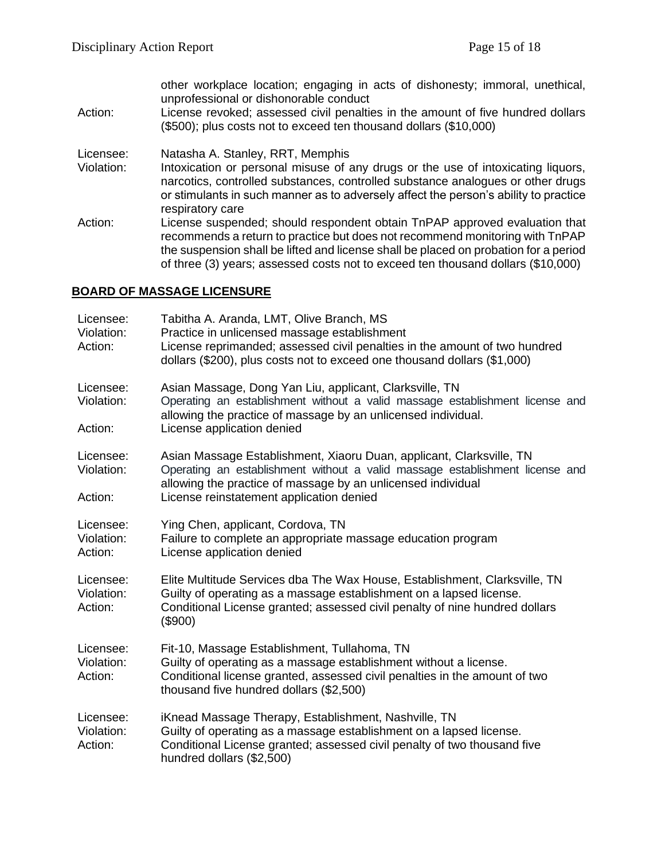other workplace location; engaging in acts of dishonesty; immoral, unethical, unprofessional or dishonorable conduct Action: License revoked; assessed civil penalties in the amount of five hundred dollars (\$500); plus costs not to exceed ten thousand dollars (\$10,000)

Licensee: Natasha A. Stanley, RRT, Memphis

- Violation: Intoxication or personal misuse of any drugs or the use of intoxicating liquors, narcotics, controlled substances, controlled substance analogues or other drugs or stimulants in such manner as to adversely affect the person's ability to practice respiratory care
- Action: License suspended; should respondent obtain TnPAP approved evaluation that recommends a return to practice but does not recommend monitoring with TnPAP the suspension shall be lifted and license shall be placed on probation for a period of three (3) years; assessed costs not to exceed ten thousand dollars (\$10,000)

## **BOARD OF MASSAGE LICENSURE**

| Licensee:<br>Violation:<br>Action: | Tabitha A. Aranda, LMT, Olive Branch, MS<br>Practice in unlicensed massage establishment<br>License reprimanded; assessed civil penalties in the amount of two hundred<br>dollars (\$200), plus costs not to exceed one thousand dollars (\$1,000)               |
|------------------------------------|------------------------------------------------------------------------------------------------------------------------------------------------------------------------------------------------------------------------------------------------------------------|
| Licensee:<br>Violation:<br>Action: | Asian Massage, Dong Yan Liu, applicant, Clarksville, TN<br>Operating an establishment without a valid massage establishment license and<br>allowing the practice of massage by an unlicensed individual.<br>License application denied                           |
| Licensee:<br>Violation:<br>Action: | Asian Massage Establishment, Xiaoru Duan, applicant, Clarksville, TN<br>Operating an establishment without a valid massage establishment license and<br>allowing the practice of massage by an unlicensed individual<br>License reinstatement application denied |
| Licensee:<br>Violation:<br>Action: | Ying Chen, applicant, Cordova, TN<br>Failure to complete an appropriate massage education program<br>License application denied                                                                                                                                  |
| Licensee:<br>Violation:<br>Action: | Elite Multitude Services dba The Wax House, Establishment, Clarksville, TN<br>Guilty of operating as a massage establishment on a lapsed license.<br>Conditional License granted; assessed civil penalty of nine hundred dollars<br>(\$900)                      |
| Licensee:<br>Violation:<br>Action: | Fit-10, Massage Establishment, Tullahoma, TN<br>Guilty of operating as a massage establishment without a license.<br>Conditional license granted, assessed civil penalties in the amount of two<br>thousand five hundred dollars (\$2,500)                       |
| Licensee:<br>Violation:<br>Action: | iKnead Massage Therapy, Establishment, Nashville, TN<br>Guilty of operating as a massage establishment on a lapsed license.<br>Conditional License granted; assessed civil penalty of two thousand five<br>hundred dollars (\$2,500)                             |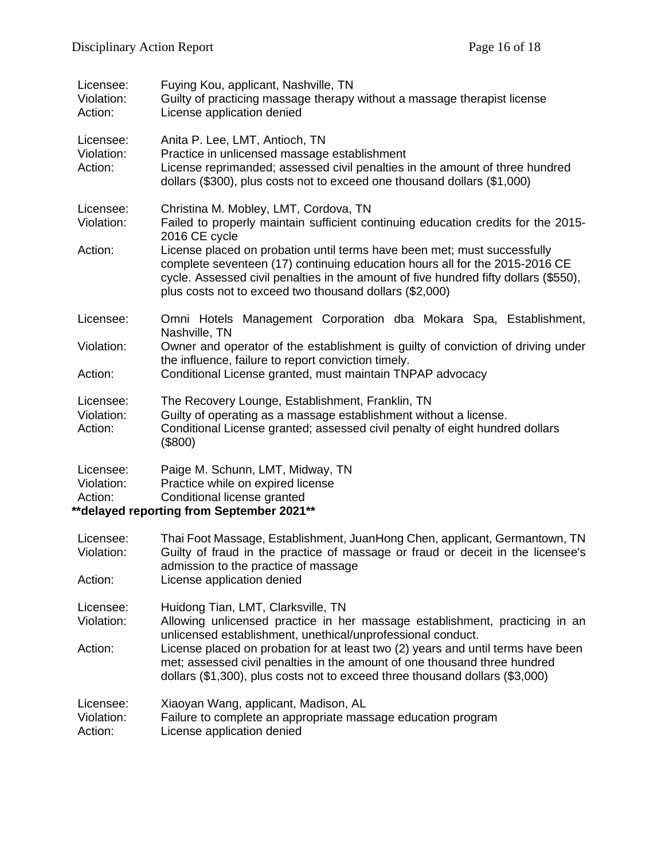| Licensee:<br>Violation:<br>Action: | Fuying Kou, applicant, Nashville, TN<br>Guilty of practicing massage therapy without a massage therapist license<br>License application denied                                                                                                                                                                                                                                                                                                            |
|------------------------------------|-----------------------------------------------------------------------------------------------------------------------------------------------------------------------------------------------------------------------------------------------------------------------------------------------------------------------------------------------------------------------------------------------------------------------------------------------------------|
| Licensee:<br>Violation:<br>Action: | Anita P. Lee, LMT, Antioch, TN<br>Practice in unlicensed massage establishment<br>License reprimanded; assessed civil penalties in the amount of three hundred<br>dollars (\$300), plus costs not to exceed one thousand dollars (\$1,000)                                                                                                                                                                                                                |
| Licensee:<br>Violation:<br>Action: | Christina M. Mobley, LMT, Cordova, TN<br>Failed to properly maintain sufficient continuing education credits for the 2015-<br>2016 CE cycle<br>License placed on probation until terms have been met; must successfully<br>complete seventeen (17) continuing education hours all for the 2015-2016 CE<br>cycle. Assessed civil penalties in the amount of five hundred fifty dollars (\$550),<br>plus costs not to exceed two thousand dollars (\$2,000) |
| Licensee:                          | Omni Hotels Management Corporation dba Mokara Spa, Establishment,<br>Nashville, TN                                                                                                                                                                                                                                                                                                                                                                        |
| Violation:                         | Owner and operator of the establishment is guilty of conviction of driving under<br>the influence, failure to report conviction timely.                                                                                                                                                                                                                                                                                                                   |
| Action:                            | Conditional License granted, must maintain TNPAP advocacy                                                                                                                                                                                                                                                                                                                                                                                                 |
| Licensee:<br>Violation:<br>Action: | The Recovery Lounge, Establishment, Franklin, TN<br>Guilty of operating as a massage establishment without a license.<br>Conditional License granted; assessed civil penalty of eight hundred dollars<br>(\$800)                                                                                                                                                                                                                                          |
| Licensee:<br>Violation:<br>Action: | Paige M. Schunn, LMT, Midway, TN<br>Practice while on expired license<br>Conditional license granted<br>** delayed reporting from September 2021**                                                                                                                                                                                                                                                                                                        |
| Licensee:<br>Violation:            | Thai Foot Massage, Establishment, JuanHong Chen, applicant, Germantown, TN<br>Guilty of fraud in the practice of massage or fraud or deceit in the licensee's<br>admission to the practice of massage                                                                                                                                                                                                                                                     |
| Action:                            | License application denied                                                                                                                                                                                                                                                                                                                                                                                                                                |
| Licensee:<br>Violation:            | Huidong Tian, LMT, Clarksville, TN<br>Allowing unlicensed practice in her massage establishment, practicing in an<br>unlicensed establishment, unethical/unprofessional conduct.                                                                                                                                                                                                                                                                          |
| Action:                            | License placed on probation for at least two (2) years and until terms have been<br>met; assessed civil penalties in the amount of one thousand three hundred<br>dollars (\$1,300), plus costs not to exceed three thousand dollars (\$3,000)                                                                                                                                                                                                             |
| Licensee:<br>Violation:<br>Action: | Xiaoyan Wang, applicant, Madison, AL<br>Failure to complete an appropriate massage education program<br>License application denied                                                                                                                                                                                                                                                                                                                        |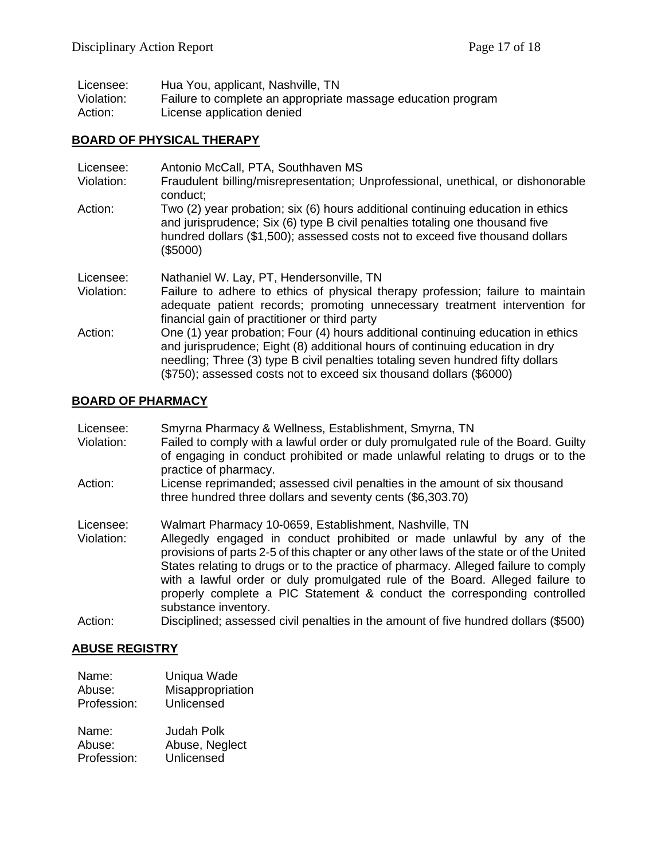| Licensee:  | Hua You, applicant, Nashville, TN                            |
|------------|--------------------------------------------------------------|
| Violation: | Failure to complete an appropriate massage education program |
| Action:    | License application denied                                   |

#### **BOARD OF PHYSICAL THERAPY**

| Licensee:<br>Violation: | Antonio McCall, PTA, Southhaven MS<br>Fraudulent billing/misrepresentation; Unprofessional, unethical, or dishonorable<br>conduct;                                                                                                                                                                                         |
|-------------------------|----------------------------------------------------------------------------------------------------------------------------------------------------------------------------------------------------------------------------------------------------------------------------------------------------------------------------|
| Action:                 | Two (2) year probation; six (6) hours additional continuing education in ethics<br>and jurisprudence; Six (6) type B civil penalties totaling one thousand five<br>hundred dollars (\$1,500); assessed costs not to exceed five thousand dollars<br>(\$5000)                                                               |
| Licensee:<br>Violation: | Nathaniel W. Lay, PT, Hendersonville, TN<br>Failure to adhere to ethics of physical therapy profession; failure to maintain<br>adequate patient records; promoting unnecessary treatment intervention for<br>financial gain of practitioner or third party                                                                 |
| Action:                 | One (1) year probation; Four (4) hours additional continuing education in ethics<br>and jurisprudence; Eight (8) additional hours of continuing education in dry<br>needling; Three (3) type B civil penalties totaling seven hundred fifty dollars<br>(\$750); assessed costs not to exceed six thousand dollars (\$6000) |

#### **BOARD OF PHARMACY**

| Licensee: | Smyrna Pharmacy & Wellness, Establishment, Smyrna, TN |  |  |
|-----------|-------------------------------------------------------|--|--|
|           |                                                       |  |  |

- Violation: Failed to comply with a lawful order or duly promulgated rule of the Board. Guilty of engaging in conduct prohibited or made unlawful relating to drugs or to the practice of pharmacy.
- Action: License reprimanded; assessed civil penalties in the amount of six thousand three hundred three dollars and seventy cents (\$6,303.70)
- Licensee: Walmart Pharmacy 10-0659, Establishment, Nashville, TN
- Allegedly engaged in conduct prohibited or made unlawful by any of the provisions of parts 2-5 of this chapter or any other laws of the state or of the United States relating to drugs or to the practice of pharmacy. Alleged failure to comply with a lawful order or duly promulgated rule of the Board. Alleged failure to properly complete a PIC Statement & conduct the corresponding controlled substance inventory.
- Action: Disciplined; assessed civil penalties in the amount of five hundred dollars (\$500)

#### **ABUSE REGISTRY**

| Name:       | Uniqua Wade      |
|-------------|------------------|
| Abuse:      | Misappropriation |
| Profession: | Unlicensed       |

| Name:       | <b>Judah Polk</b> |
|-------------|-------------------|
| Abuse:      | Abuse, Neglect    |
| Profession: | Unlicensed        |